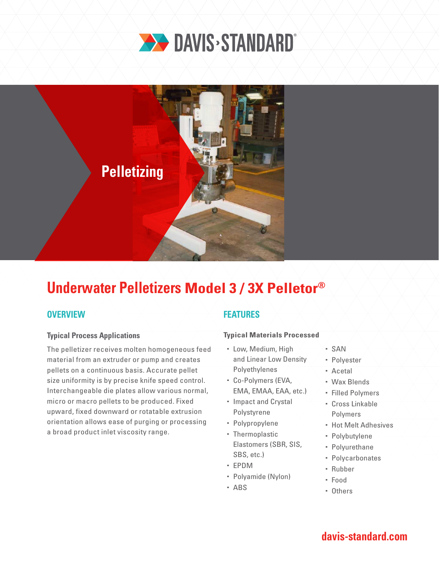



# **Underwater Pelletizers Model 3 / 3X Pelletor®**

## **OVERVIEW**

### **Typical Process Applications**

The pelletizer receives molten homogeneous feed material from an extruder or pump and creates pellets on a continuous basis. Accurate pellet size uniformity is by precise knife speed control. Interchangeable die plates allow various normal, micro or macro pellets to be produced. Fixed upward, fixed downward or rotatable extrusion orientation allows ease of purging or processing a broad product inlet viscosity range.

## **FEATURES**

### **Typical Materials Processed**

- Low, Medium, High and Linear Low Density Polyethylenes
- Co-Polymers (EVA, EMA, EMAA, EAA, etc.)
- Impact and Crystal Polystyrene
- Polypropylene
- Thermoplastic Elastomers (SBR, SIS, SBS, etc.)
- EPDM
- Polyamide (Nylon)
- ABS
- $-SAN$
- Polyester
- Acetal
- Wax Blends
- Filled Polymers
- Cross Linkable Polymers
- **Hot Melt Adhesives**
- Polybutylene
- Polyurethane
- Polycarbonates
- Rubber
- Food
- Others

# **davis-standard.com**